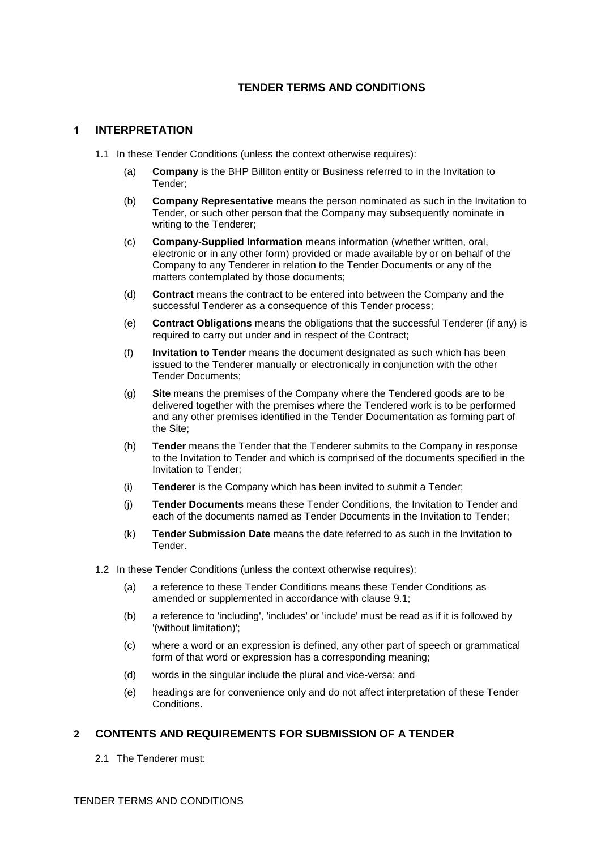# **TENDER TERMS AND CONDITIONS**

## **1 INTERPRETATION**

- 1.1 In these Tender Conditions (unless the context otherwise requires):
	- (a) **Company** is the BHP Billiton entity or Business referred to in the Invitation to Tender;
	- (b) **Company Representative** means the person nominated as such in the Invitation to Tender, or such other person that the Company may subsequently nominate in writing to the Tenderer;
	- (c) **Company-Supplied Information** means information (whether written, oral, electronic or in any other form) provided or made available by or on behalf of the Company to any Tenderer in relation to the Tender Documents or any of the matters contemplated by those documents;
	- (d) **Contract** means the contract to be entered into between the Company and the successful Tenderer as a consequence of this Tender process;
	- (e) **Contract Obligations** means the obligations that the successful Tenderer (if any) is required to carry out under and in respect of the Contract;
	- (f) **Invitation to Tender** means the document designated as such which has been issued to the Tenderer manually or electronically in conjunction with the other Tender Documents;
	- (g) **Site** means the premises of the Company where the Tendered goods are to be delivered together with the premises where the Tendered work is to be performed and any other premises identified in the Tender Documentation as forming part of the Site;
	- (h) **Tender** means the Tender that the Tenderer submits to the Company in response to the Invitation to Tender and which is comprised of the documents specified in the Invitation to Tender;
	- (i) **Tenderer** is the Company which has been invited to submit a Tender;
	- (j) **Tender Documents** means these Tender Conditions, the Invitation to Tender and each of the documents named as Tender Documents in the Invitation to Tender;
	- (k) **Tender Submission Date** means the date referred to as such in the Invitation to Tender.
- 1.2 In these Tender Conditions (unless the context otherwise requires):
	- (a) a reference to these Tender Conditions means these Tender Conditions as amended or supplemented in accordance with clause [9.1;](#page-4-0)
	- (b) a reference to 'including', 'includes' or 'include' must be read as if it is followed by '(without limitation)';
	- (c) where a word or an expression is defined, any other part of speech or grammatical form of that word or expression has a corresponding meaning;
	- (d) words in the singular include the plural and vice-versa; and
	- (e) headings are for convenience only and do not affect interpretation of these Tender Conditions.

# **2 CONTENTS AND REQUIREMENTS FOR SUBMISSION OF A TENDER**

2.1 The Tenderer must: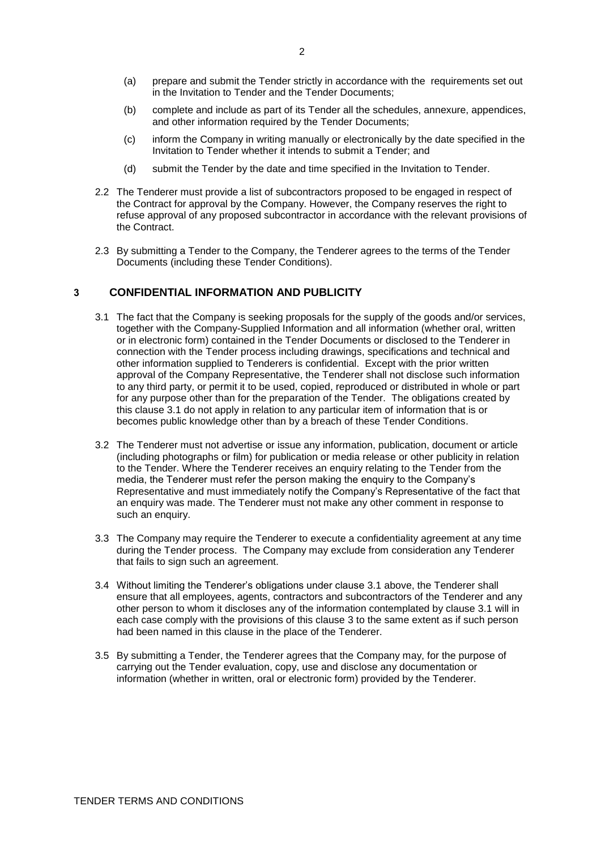- (a) prepare and submit the Tender strictly in accordance with the requirements set out in the Invitation to Tender and the Tender Documents;
- (b) complete and include as part of its Tender all the schedules, annexure, appendices, and other information required by the Tender Documents;
- (c) inform the Company in writing manually or electronically by the date specified in the Invitation to Tender whether it intends to submit a Tender; and
- (d) submit the Tender by the date and time specified in the Invitation to Tender.
- 2.2 The Tenderer must provide a list of subcontractors proposed to be engaged in respect of the Contract for approval by the Company. However, the Company reserves the right to refuse approval of any proposed subcontractor in accordance with the relevant provisions of the Contract.
- 2.3 By submitting a Tender to the Company, the Tenderer agrees to the terms of the Tender Documents (including these Tender Conditions).

### <span id="page-1-1"></span><span id="page-1-0"></span>**3 CONFIDENTIAL INFORMATION AND PUBLICITY**

- 3.1 The fact that the Company is seeking proposals for the supply of the goods and/or services, together with the Company-Supplied Information and all information (whether oral, written or in electronic form) contained in the Tender Documents or disclosed to the Tenderer in connection with the Tender process including drawings, specifications and technical and other information supplied to Tenderers is confidential. Except with the prior written approval of the Company Representative, the Tenderer shall not disclose such information to any third party, or permit it to be used, copied, reproduced or distributed in whole or part for any purpose other than for the preparation of the Tender. The obligations created by this clause [3.1](#page-1-0) do not apply in relation to any particular item of information that is or becomes public knowledge other than by a breach of these Tender Conditions.
- 3.2 The Tenderer must not advertise or issue any information, publication, document or article (including photographs or film) for publication or media release or other publicity in relation to the Tender. Where the Tenderer receives an enquiry relating to the Tender from the media, the Tenderer must refer the person making the enquiry to the Company's Representative and must immediately notify the Company's Representative of the fact that an enquiry was made. The Tenderer must not make any other comment in response to such an enquiry.
- 3.3 The Company may require the Tenderer to execute a confidentiality agreement at any time during the Tender process. The Company may exclude from consideration any Tenderer that fails to sign such an agreement.
- 3.4 Without limiting the Tenderer's obligations under clause [3.1](#page-1-0) above, the Tenderer shall ensure that all employees, agents, contractors and subcontractors of the Tenderer and any other person to whom it discloses any of the information contemplated by clause [3.1](#page-1-0) will in each case comply with the provisions of this clause [3](#page-1-1) to the same extent as if such person had been named in this clause in the place of the Tenderer.
- 3.5 By submitting a Tender, the Tenderer agrees that the Company may, for the purpose of carrying out the Tender evaluation, copy, use and disclose any documentation or information (whether in written, oral or electronic form) provided by the Tenderer.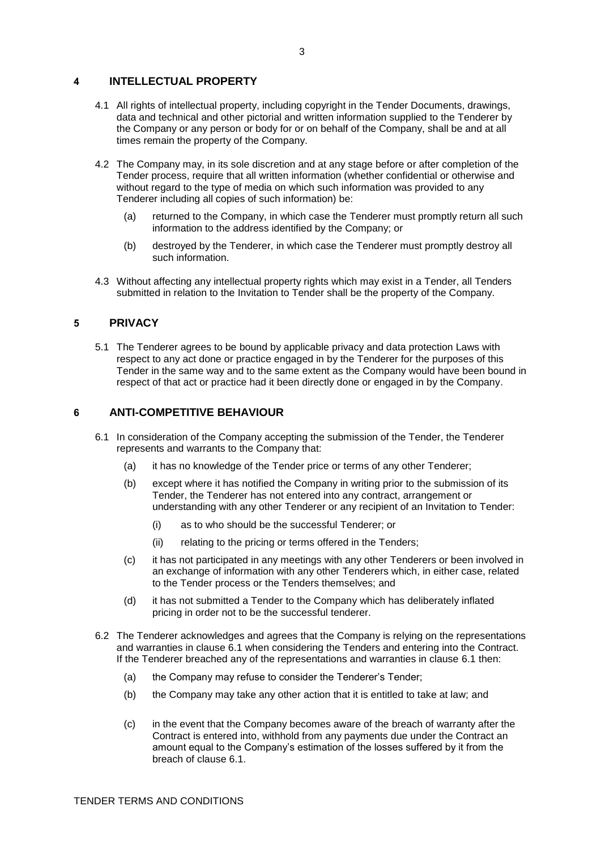## **4 INTELLECTUAL PROPERTY**

- 4.1 All rights of intellectual property, including copyright in the Tender Documents, drawings, data and technical and other pictorial and written information supplied to the Tenderer by the Company or any person or body for or on behalf of the Company, shall be and at all times remain the property of the Company.
- 4.2 The Company may, in its sole discretion and at any stage before or after completion of the Tender process, require that all written information (whether confidential or otherwise and without regard to the type of media on which such information was provided to any Tenderer including all copies of such information) be:
	- (a) returned to the Company, in which case the Tenderer must promptly return all such information to the address identified by the Company; or
	- (b) destroyed by the Tenderer, in which case the Tenderer must promptly destroy all such information.
- 4.3 Without affecting any intellectual property rights which may exist in a Tender, all Tenders submitted in relation to the Invitation to Tender shall be the property of the Company.

#### **5 PRIVACY**

5.1 The Tenderer agrees to be bound by applicable privacy and data protection Laws with respect to any act done or practice engaged in by the Tenderer for the purposes of this Tender in the same way and to the same extent as the Company would have been bound in respect of that act or practice had it been directly done or engaged in by the Company.

### <span id="page-2-0"></span>**6 ANTI-COMPETITIVE BEHAVIOUR**

- 6.1 In consideration of the Company accepting the submission of the Tender, the Tenderer represents and warrants to the Company that:
	- (a) it has no knowledge of the Tender price or terms of any other Tenderer;
	- (b) except where it has notified the Company in writing prior to the submission of its Tender, the Tenderer has not entered into any contract, arrangement or understanding with any other Tenderer or any recipient of an Invitation to Tender:
		- (i) as to who should be the successful Tenderer; or
		- (ii) relating to the pricing or terms offered in the Tenders;
	- (c) it has not participated in any meetings with any other Tenderers or been involved in an exchange of information with any other Tenderers which, in either case, related to the Tender process or the Tenders themselves; and
	- (d) it has not submitted a Tender to the Company which has deliberately inflated pricing in order not to be the successful tenderer.
- 6.2 The Tenderer acknowledges and agrees that the Company is relying on the representations and warranties in clause [6.1](#page-2-0) when considering the Tenders and entering into the Contract. If the Tenderer breached any of the representations and warranties in clause [6.1](#page-2-0) then:
	- (a) the Company may refuse to consider the Tenderer's Tender;
	- (b) the Company may take any other action that it is entitled to take at law; and
	- (c) in the event that the Company becomes aware of the breach of warranty after the Contract is entered into, withhold from any payments due under the Contract an amount equal to the Company's estimation of the losses suffered by it from the breach of clause [6.1.](#page-2-0)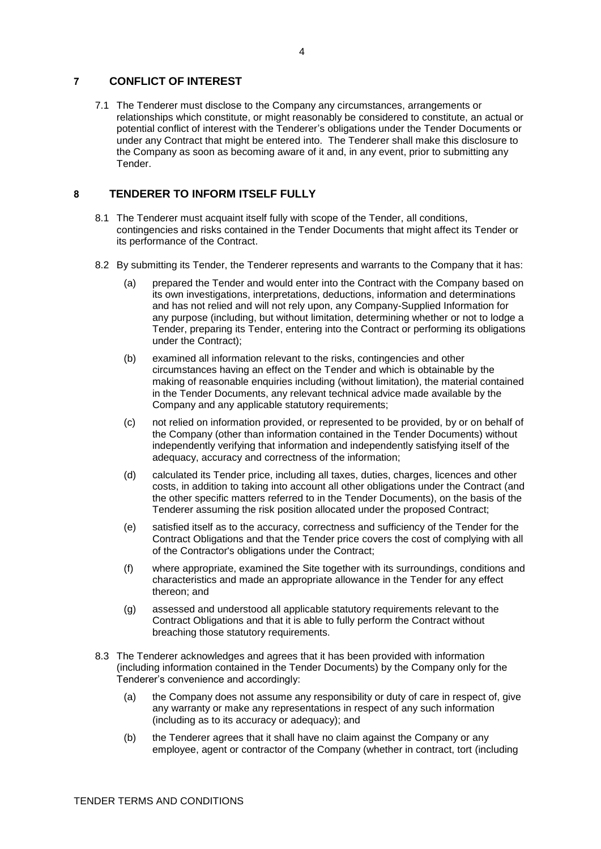## **7 CONFLICT OF INTEREST**

7.1 The Tenderer must disclose to the Company any circumstances, arrangements or relationships which constitute, or might reasonably be considered to constitute, an actual or potential conflict of interest with the Tenderer's obligations under the Tender Documents or under any Contract that might be entered into. The Tenderer shall make this disclosure to the Company as soon as becoming aware of it and, in any event, prior to submitting any Tender.

## **8 TENDERER TO INFORM ITSELF FULLY**

- 8.1 The Tenderer must acquaint itself fully with scope of the Tender, all conditions, contingencies and risks contained in the Tender Documents that might affect its Tender or its performance of the Contract.
- 8.2 By submitting its Tender, the Tenderer represents and warrants to the Company that it has:
	- (a) prepared the Tender and would enter into the Contract with the Company based on its own investigations, interpretations, deductions, information and determinations and has not relied and will not rely upon, any Company-Supplied Information for any purpose (including, but without limitation, determining whether or not to lodge a Tender, preparing its Tender, entering into the Contract or performing its obligations under the Contract);
	- (b) examined all information relevant to the risks, contingencies and other circumstances having an effect on the Tender and which is obtainable by the making of reasonable enquiries including (without limitation), the material contained in the Tender Documents, any relevant technical advice made available by the Company and any applicable statutory requirements;
	- (c) not relied on information provided, or represented to be provided, by or on behalf of the Company (other than information contained in the Tender Documents) without independently verifying that information and independently satisfying itself of the adequacy, accuracy and correctness of the information;
	- (d) calculated its Tender price, including all taxes, duties, charges, licences and other costs, in addition to taking into account all other obligations under the Contract (and the other specific matters referred to in the Tender Documents), on the basis of the Tenderer assuming the risk position allocated under the proposed Contract;
	- (e) satisfied itself as to the accuracy, correctness and sufficiency of the Tender for the Contract Obligations and that the Tender price covers the cost of complying with all of the Contractor's obligations under the Contract;
	- (f) where appropriate, examined the Site together with its surroundings, conditions and characteristics and made an appropriate allowance in the Tender for any effect thereon; and
	- (g) assessed and understood all applicable statutory requirements relevant to the Contract Obligations and that it is able to fully perform the Contract without breaching those statutory requirements.
- 8.3 The Tenderer acknowledges and agrees that it has been provided with information (including information contained in the Tender Documents) by the Company only for the Tenderer's convenience and accordingly:
	- (a) the Company does not assume any responsibility or duty of care in respect of, give any warranty or make any representations in respect of any such information (including as to its accuracy or adequacy); and
	- (b) the Tenderer agrees that it shall have no claim against the Company or any employee, agent or contractor of the Company (whether in contract, tort (including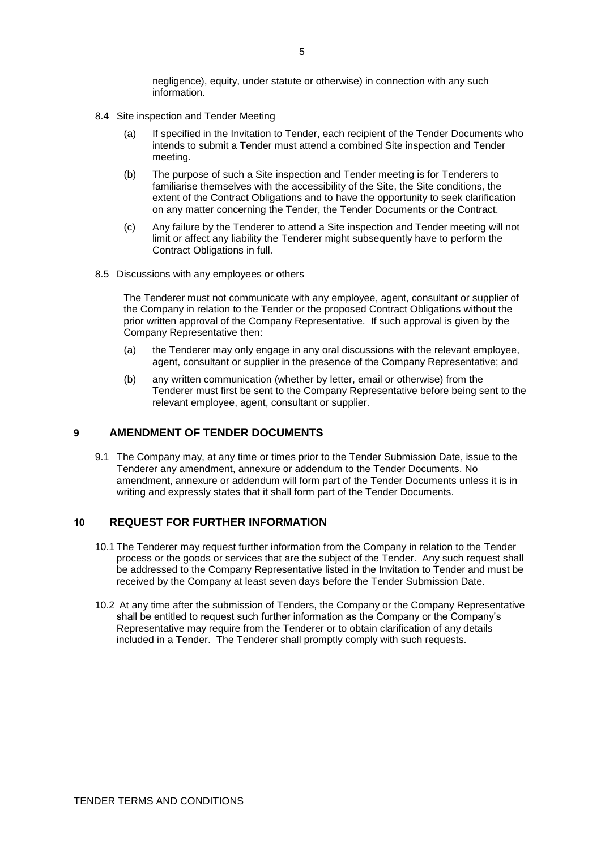negligence), equity, under statute or otherwise) in connection with any such information.

- 8.4 Site inspection and Tender Meeting
	- (a) If specified in the Invitation to Tender, each recipient of the Tender Documents who intends to submit a Tender must attend a combined Site inspection and Tender meeting.
	- (b) The purpose of such a Site inspection and Tender meeting is for Tenderers to familiarise themselves with the accessibility of the Site, the Site conditions, the extent of the Contract Obligations and to have the opportunity to seek clarification on any matter concerning the Tender, the Tender Documents or the Contract.
	- (c) Any failure by the Tenderer to attend a Site inspection and Tender meeting will not limit or affect any liability the Tenderer might subsequently have to perform the Contract Obligations in full.
- 8.5 Discussions with any employees or others

The Tenderer must not communicate with any employee, agent, consultant or supplier of the Company in relation to the Tender or the proposed Contract Obligations without the prior written approval of the Company Representative. If such approval is given by the Company Representative then:

- (a) the Tenderer may only engage in any oral discussions with the relevant employee, agent, consultant or supplier in the presence of the Company Representative; and
- (b) any written communication (whether by letter, email or otherwise) from the Tenderer must first be sent to the Company Representative before being sent to the relevant employee, agent, consultant or supplier.

#### <span id="page-4-0"></span>**9 AMENDMENT OF TENDER DOCUMENTS**

9.1 The Company may, at any time or times prior to the Tender Submission Date, issue to the Tenderer any amendment, annexure or addendum to the Tender Documents. No amendment, annexure or addendum will form part of the Tender Documents unless it is in writing and expressly states that it shall form part of the Tender Documents.

#### **10 REQUEST FOR FURTHER INFORMATION**

- 10.1 The Tenderer may request further information from the Company in relation to the Tender process or the goods or services that are the subject of the Tender. Any such request shall be addressed to the Company Representative listed in the Invitation to Tender and must be received by the Company at least seven days before the Tender Submission Date.
- 10.2 At any time after the submission of Tenders, the Company or the Company Representative shall be entitled to request such further information as the Company or the Company's Representative may require from the Tenderer or to obtain clarification of any details included in a Tender. The Tenderer shall promptly comply with such requests.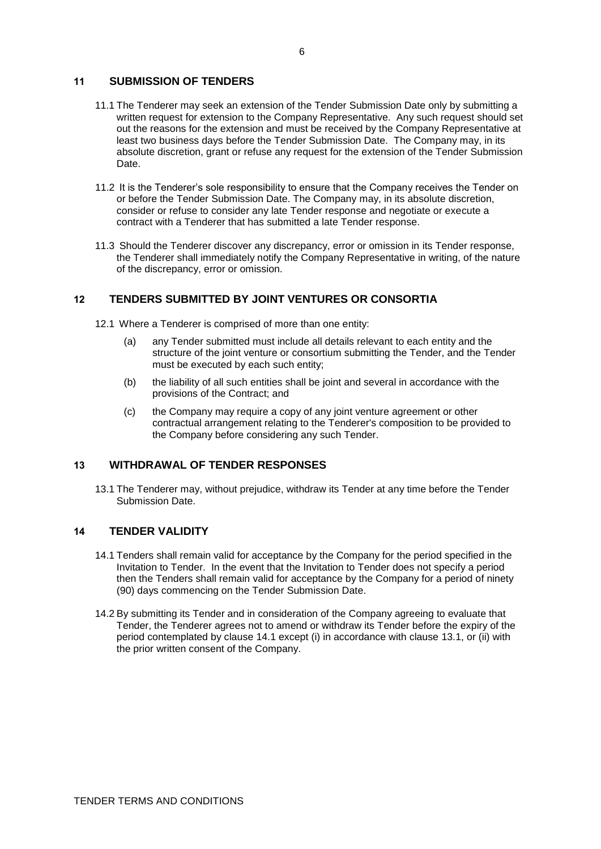### **11 SUBMISSION OF TENDERS**

- 11.1 The Tenderer may seek an extension of the Tender Submission Date only by submitting a written request for extension to the Company Representative. Any such request should set out the reasons for the extension and must be received by the Company Representative at least two business days before the Tender Submission Date. The Company may, in its absolute discretion, grant or refuse any request for the extension of the Tender Submission Date.
- 11.2 It is the Tenderer's sole responsibility to ensure that the Company receives the Tender on or before the Tender Submission Date. The Company may, in its absolute discretion, consider or refuse to consider any late Tender response and negotiate or execute a contract with a Tenderer that has submitted a late Tender response.
- 11.3 Should the Tenderer discover any discrepancy, error or omission in its Tender response, the Tenderer shall immediately notify the Company Representative in writing, of the nature of the discrepancy, error or omission.

## **12 TENDERS SUBMITTED BY JOINT VENTURES OR CONSORTIA**

12.1 Where a Tenderer is comprised of more than one entity:

- (a) any Tender submitted must include all details relevant to each entity and the structure of the joint venture or consortium submitting the Tender, and the Tender must be executed by each such entity;
- (b) the liability of all such entities shall be joint and several in accordance with the provisions of the Contract; and
- (c) the Company may require a copy of any joint venture agreement or other contractual arrangement relating to the Tenderer's composition to be provided to the Company before considering any such Tender.

## <span id="page-5-1"></span>**13 WITHDRAWAL OF TENDER RESPONSES**

13.1 The Tenderer may, without prejudice, withdraw its Tender at any time before the Tender Submission Date.

## <span id="page-5-0"></span>**14 TENDER VALIDITY**

- 14.1 Tenders shall remain valid for acceptance by the Company for the period specified in the Invitation to Tender. In the event that the Invitation to Tender does not specify a period then the Tenders shall remain valid for acceptance by the Company for a period of ninety (90) days commencing on the Tender Submission Date.
- 14.2 By submitting its Tender and in consideration of the Company agreeing to evaluate that Tender, the Tenderer agrees not to amend or withdraw its Tender before the expiry of the period contemplated by clause [14.1](#page-5-0) except (i) in accordance with clause [13.1,](#page-5-1) or (ii) with the prior written consent of the Company.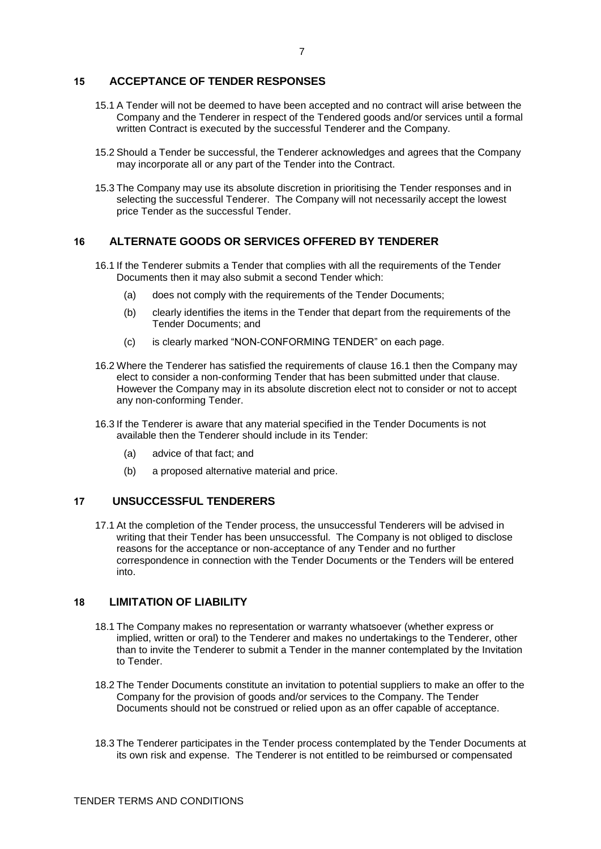### **15 ACCEPTANCE OF TENDER RESPONSES**

- 15.1 A Tender will not be deemed to have been accepted and no contract will arise between the Company and the Tenderer in respect of the Tendered goods and/or services until a formal written Contract is executed by the successful Tenderer and the Company.
- 15.2 Should a Tender be successful, the Tenderer acknowledges and agrees that the Company may incorporate all or any part of the Tender into the Contract.
- 15.3 The Company may use its absolute discretion in prioritising the Tender responses and in selecting the successful Tenderer. The Company will not necessarily accept the lowest price Tender as the successful Tender.

## <span id="page-6-0"></span>**16 ALTERNATE GOODS OR SERVICES OFFERED BY TENDERER**

- 16.1 If the Tenderer submits a Tender that complies with all the requirements of the Tender Documents then it may also submit a second Tender which:
	- (a) does not comply with the requirements of the Tender Documents;
	- (b) clearly identifies the items in the Tender that depart from the requirements of the Tender Documents; and
	- (c) is clearly marked "NON-CONFORMING TENDER" on each page.
- 16.2 Where the Tenderer has satisfied the requirements of clause [16.1](#page-6-0) then the Company may elect to consider a non-conforming Tender that has been submitted under that clause. However the Company may in its absolute discretion elect not to consider or not to accept any non-conforming Tender.
- 16.3 If the Tenderer is aware that any material specified in the Tender Documents is not available then the Tenderer should include in its Tender:
	- (a) advice of that fact; and
	- (b) a proposed alternative material and price.

### **17 UNSUCCESSFUL TENDERERS**

17.1 At the completion of the Tender process, the unsuccessful Tenderers will be advised in writing that their Tender has been unsuccessful. The Company is not obliged to disclose reasons for the acceptance or non-acceptance of any Tender and no further correspondence in connection with the Tender Documents or the Tenders will be entered into.

# **18 LIMITATION OF LIABILITY**

- 18.1 The Company makes no representation or warranty whatsoever (whether express or implied, written or oral) to the Tenderer and makes no undertakings to the Tenderer, other than to invite the Tenderer to submit a Tender in the manner contemplated by the Invitation to Tender.
- 18.2 The Tender Documents constitute an invitation to potential suppliers to make an offer to the Company for the provision of goods and/or services to the Company. The Tender Documents should not be construed or relied upon as an offer capable of acceptance.
- 18.3 The Tenderer participates in the Tender process contemplated by the Tender Documents at its own risk and expense. The Tenderer is not entitled to be reimbursed or compensated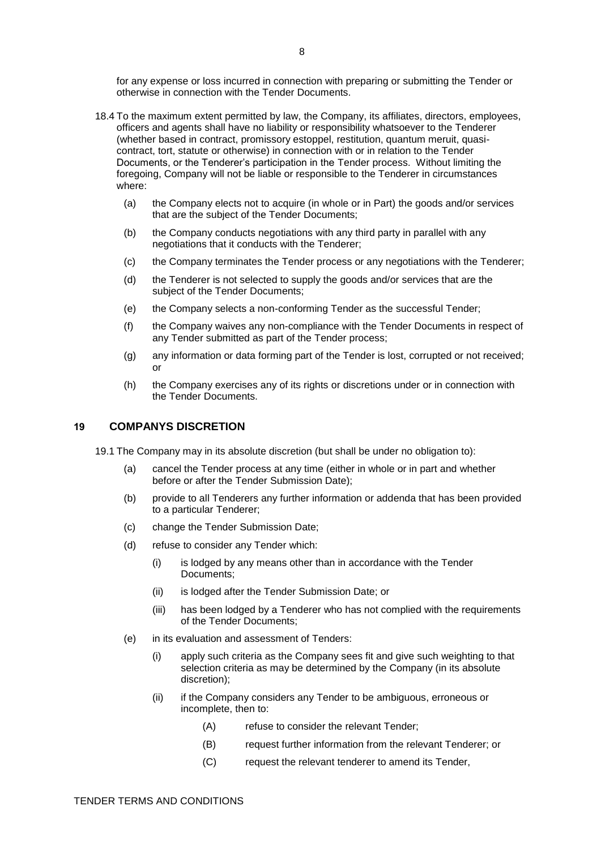for any expense or loss incurred in connection with preparing or submitting the Tender or otherwise in connection with the Tender Documents.

- 18.4 To the maximum extent permitted by law, the Company, its affiliates, directors, employees, officers and agents shall have no liability or responsibility whatsoever to the Tenderer (whether based in contract, promissory estoppel, restitution, quantum meruit, quasicontract, tort, statute or otherwise) in connection with or in relation to the Tender Documents, or the Tenderer's participation in the Tender process. Without limiting the foregoing, Company will not be liable or responsible to the Tenderer in circumstances where:
	- (a) the Company elects not to acquire (in whole or in Part) the goods and/or services that are the subject of the Tender Documents;
	- (b) the Company conducts negotiations with any third party in parallel with any negotiations that it conducts with the Tenderer;
	- (c) the Company terminates the Tender process or any negotiations with the Tenderer;
	- (d) the Tenderer is not selected to supply the goods and/or services that are the subject of the Tender Documents;
	- (e) the Company selects a non-conforming Tender as the successful Tender;
	- (f) the Company waives any non-compliance with the Tender Documents in respect of any Tender submitted as part of the Tender process;
	- (g) any information or data forming part of the Tender is lost, corrupted or not received; or
	- (h) the Company exercises any of its rights or discretions under or in connection with the Tender Documents.

## **19 COMPANYS DISCRETION**

19.1 The Company may in its absolute discretion (but shall be under no obligation to):

- (a) cancel the Tender process at any time (either in whole or in part and whether before or after the Tender Submission Date);
- (b) provide to all Tenderers any further information or addenda that has been provided to a particular Tenderer;
- (c) change the Tender Submission Date;
- (d) refuse to consider any Tender which:
	- (i) is lodged by any means other than in accordance with the Tender Documents;
	- (ii) is lodged after the Tender Submission Date; or
	- (iii) has been lodged by a Tenderer who has not complied with the requirements of the Tender Documents;
- (e) in its evaluation and assessment of Tenders:
	- (i) apply such criteria as the Company sees fit and give such weighting to that selection criteria as may be determined by the Company (in its absolute discretion);
	- (ii) if the Company considers any Tender to be ambiguous, erroneous or incomplete, then to:
		- (A) refuse to consider the relevant Tender;
		- (B) request further information from the relevant Tenderer; or
		- (C) request the relevant tenderer to amend its Tender,